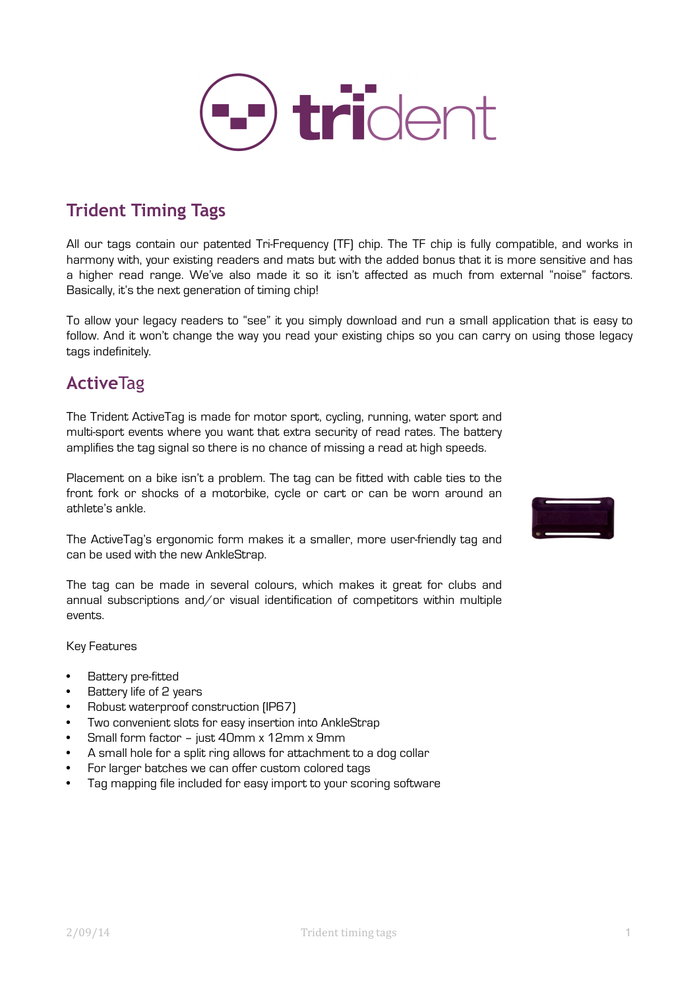

# **Trident Timing Tags**

All our tags contain our patented Tri-Frequency (TF) chip. The TF chip is fully compatible, and works in harmony with, your existing readers and mats but with the added bonus that it is more sensitive and has a higher read range. We've also made it so it isn't affected as much from external "noise" factors. Basically, it's the next generation of timing chip!

To allow your legacy readers to "see" it you simply download and run a small application that is easy to follow. And it won't change the way you read your existing chips so you can carry on using those legacy tags indefinitely.

### **Active**Tag

The Trident ActiveTag is made for motor sport, cycling, running, water sport and multi-sport events where you want that extra security of read rates. The battery amplifies the tag signal so there is no chance of missing a read at high speeds.

Placement on a bike isn't a problem. The tag can be fitted with cable ties to the front fork or shocks of a motorbike, cycle or cart or can be worn around an athlete's ankle.

The ActiveTag's ergonomic form makes it a smaller, more user-friendly tag and can be used with the new AnkleStrap.

The tag can be made in several colours, which makes it great for clubs and annual subscriptions and/or visual identification of competitors within multiple events.

Key Features

- Battery pre-fitted
- Battery life of 2 years
- Robust waterproof construction (IP67)
- Two convenient slots for easy insertion into AnkleStrap
- Small form factor just 40mm x 12mm x 9mm
- A small hole for a split ring allows for attachment to a dog collar
- For larger batches we can offer custom colored tags
- Tag mapping file included for easy import to your scoring software

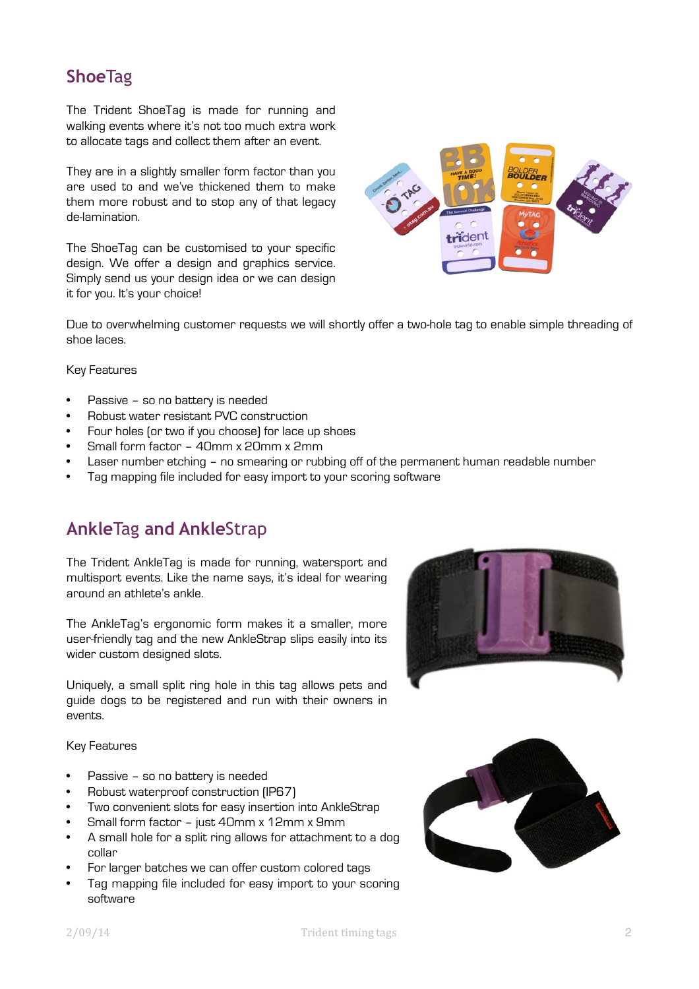# **Shoe**Tag

The Trident ShoeTag is made for running and walking events where it's not too much extra work to allocate tags and collect them after an event.

They are in a slightly smaller form factor than you are used to and we've thickened them to make them more robust and to stop any of that legacy de-lamination.

The ShoeTag can be customised to your specific design. We offer a design and graphics service. Simply send us your design idea or we can design it for you. It's your choice!



Due to overwhelming customer requests we will shortly offer a two-hole tag to enable simple threading of shoe laces.

#### Key Features

- Passive so no battery is needed
- Robust water resistant PVC construction
- Four holes (or two if you choose) for lace up shoes
- Small form factor 40mm x 20mm x 2mm
- Laser number etching no smearing or rubbing off of the permanent human readable number
- Tag mapping file included for easy import to your scoring software

### **Ankle**Tag **and Ankle**Strap

The Trident AnkleTag is made for running, watersport and multisport events. Like the name says, it's ideal for wearing around an athlete's ankle.

The AnkleTag's ergonomic form makes it a smaller, more user-friendly tag and the new AnkleStrap slips easily into its wider custom designed slots.

Uniquely, a small split ring hole in this tag allows pets and guide dogs to be registered and run with their owners in events.

Key Features

- Passive so no battery is needed
- Robust waterproof construction (IP67)
- Two convenient slots for easy insertion into AnkleStrap
- Small form factor just 40mm x 12mm x 9mm
- A small hole for a split ring allows for attachment to a dog collar
- For larger batches we can offer custom colored tags
- Tag mapping file included for easy import to your scoring software